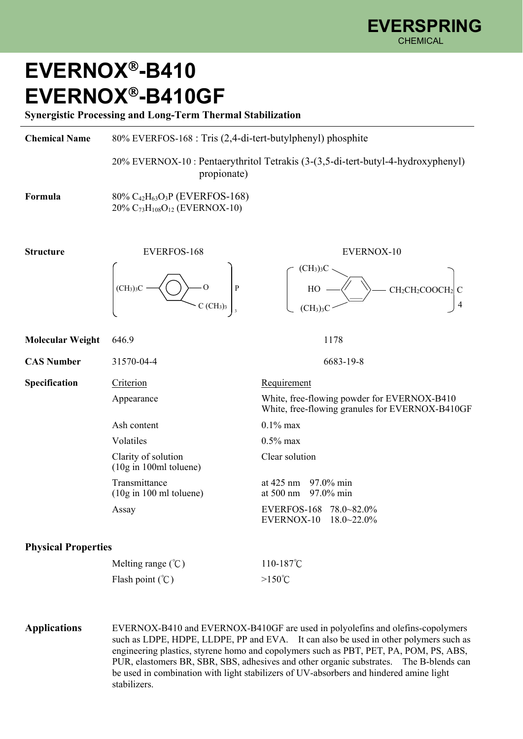## **EVERNOX-B410 EVERNOX-B410GF**

stabilizers.

**Synergistic Processing and Long-Term Thermal Stabilization** 

| <b>Chemical Name</b>       | 80% EVERFOS-168 : Tris (2,4-di-tert-butylphenyl) phosphite                                                                                                                                                                                                                                                                                                                                                                                          |                                                                                                         |
|----------------------------|-----------------------------------------------------------------------------------------------------------------------------------------------------------------------------------------------------------------------------------------------------------------------------------------------------------------------------------------------------------------------------------------------------------------------------------------------------|---------------------------------------------------------------------------------------------------------|
|                            | propionate)                                                                                                                                                                                                                                                                                                                                                                                                                                         | 20% EVERNOX-10 : Pentaerythritol Tetrakis (3-(3,5-di-tert-butyl-4-hydroxyphenyl)                        |
| Formula                    | 80% C <sub>42</sub> H <sub>63</sub> O <sub>3</sub> P (EVERFOS-168)<br>20% C <sub>73</sub> H <sub>108</sub> O <sub>12</sub> (EVERNOX-10)                                                                                                                                                                                                                                                                                                             |                                                                                                         |
| <b>Structure</b>           | <b>EVERFOS-168</b>                                                                                                                                                                                                                                                                                                                                                                                                                                  | EVERNOX-10                                                                                              |
|                            | $\rm ^o$<br>P<br>(CH <sub>3</sub> ) <sub>3</sub><br>$C$ (CH <sub>3</sub> ) <sub>3</sub>                                                                                                                                                                                                                                                                                                                                                             | $\rm (CH_3)_3C$<br>HO<br>CH <sub>2</sub> CH <sub>2</sub> COOC<br>4<br>(CH <sub>3</sub> ) <sub>3</sub> C |
| <b>Molecular Weight</b>    | 646.9                                                                                                                                                                                                                                                                                                                                                                                                                                               | 1178                                                                                                    |
| <b>CAS Number</b>          | 31570-04-4                                                                                                                                                                                                                                                                                                                                                                                                                                          | 6683-19-8                                                                                               |
| Specification              | Criterion                                                                                                                                                                                                                                                                                                                                                                                                                                           | Requirement                                                                                             |
|                            | Appearance                                                                                                                                                                                                                                                                                                                                                                                                                                          | White, free-flowing powder for EVERNOX-B410<br>White, free-flowing granules for EVERNOX-B410GF          |
|                            | Ash content                                                                                                                                                                                                                                                                                                                                                                                                                                         | $0.1\%$ max                                                                                             |
|                            | Volatiles                                                                                                                                                                                                                                                                                                                                                                                                                                           | $0.5\%$ max                                                                                             |
|                            | Clarity of solution<br>$(10g \text{ in } 100 \text{ml}$ toluene)                                                                                                                                                                                                                                                                                                                                                                                    | Clear solution                                                                                          |
|                            | Transmittance<br>$(10g \text{ in } 100 \text{ ml}$ toluene)                                                                                                                                                                                                                                                                                                                                                                                         | at $425 \text{ nm}$<br>97.0% min<br>97.0% min<br>at 500 nm                                              |
|                            | Assay                                                                                                                                                                                                                                                                                                                                                                                                                                               | EVERFOS-168 78.0~82.0%<br>EVERNOX-10<br>$18.0 \times 22.0\%$                                            |
| <b>Physical Properties</b> |                                                                                                                                                                                                                                                                                                                                                                                                                                                     |                                                                                                         |
|                            | Melting range $(\mathcal{C})$                                                                                                                                                                                                                                                                                                                                                                                                                       | 110-187°C                                                                                               |
|                            | Flash point $({}^{\circ}\mathsf{C})$                                                                                                                                                                                                                                                                                                                                                                                                                | $>150^{\circ}$ C                                                                                        |
| <b>Applications</b>        | EVERNOX-B410 and EVERNOX-B410GF are used in polyolefins and olefins-copolymers<br>such as LDPE, HDPE, LLDPE, PP and EVA. It can also be used in other polymers such as<br>engineering plastics, styrene homo and copolymers such as PBT, PET, PA, POM, PS, ABS,<br>PUR, elastomers BR, SBR, SBS, adhesives and other organic substrates. The B-blends can<br>be used in combination with light stabilizers of UV-absorbers and hindered amine light |                                                                                                         |